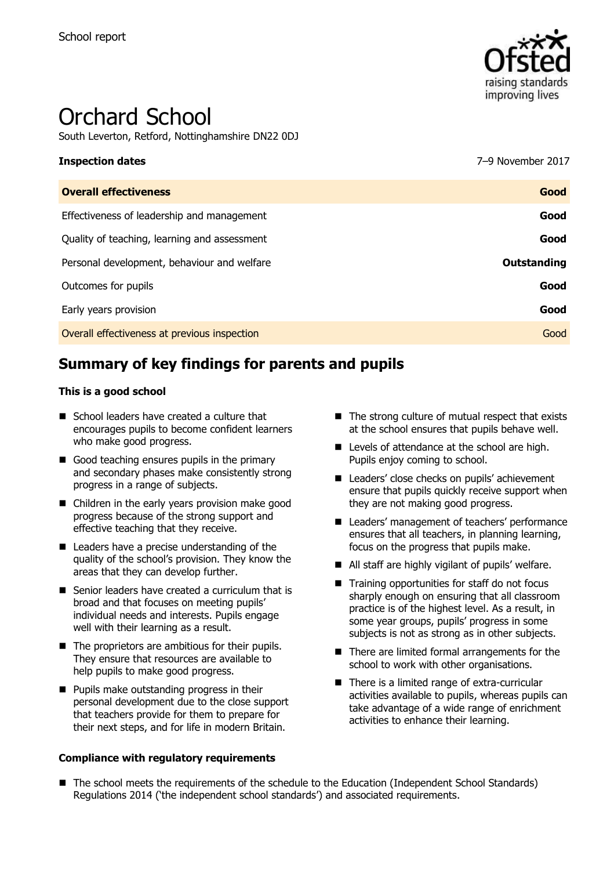

# Orchard School

South Leverton, Retford, Nottinghamshire DN22 0DJ

# **Inspection dates** 7–9 November 2017

| Good        |
|-------------|
| Good        |
| Good        |
| Outstanding |
| Good        |
| Good        |
| Good        |
|             |

# **Summary of key findings for parents and pupils**

### **This is a good school**

- School leaders have created a culture that encourages pupils to become confident learners who make good progress.
- Good teaching ensures pupils in the primary and secondary phases make consistently strong progress in a range of subjects.
- Children in the early years provision make good progress because of the strong support and effective teaching that they receive.
- Leaders have a precise understanding of the quality of the school's provision. They know the areas that they can develop further.
- Senior leaders have created a curriculum that is broad and that focuses on meeting pupils' individual needs and interests. Pupils engage well with their learning as a result.
- The proprietors are ambitious for their pupils. They ensure that resources are available to help pupils to make good progress.
- **Pupils make outstanding progress in their** personal development due to the close support that teachers provide for them to prepare for their next steps, and for life in modern Britain.

### **Compliance with regulatory requirements**

- $\blacksquare$  The strong culture of mutual respect that exists at the school ensures that pupils behave well.
- Levels of attendance at the school are high. Pupils enjoy coming to school.
- Leaders' close checks on pupils' achievement ensure that pupils quickly receive support when they are not making good progress.
- Leaders' management of teachers' performance ensures that all teachers, in planning learning, focus on the progress that pupils make.
- All staff are highly vigilant of pupils' welfare.
- Training opportunities for staff do not focus sharply enough on ensuring that all classroom practice is of the highest level. As a result, in some year groups, pupils' progress in some subjects is not as strong as in other subjects.
- There are limited formal arrangements for the school to work with other organisations.
- There is a limited range of extra-curricular activities available to pupils, whereas pupils can take advantage of a wide range of enrichment activities to enhance their learning.
- The school meets the requirements of the schedule to the Education (Independent School Standards) Regulations 2014 ('the independent school standards') and associated requirements.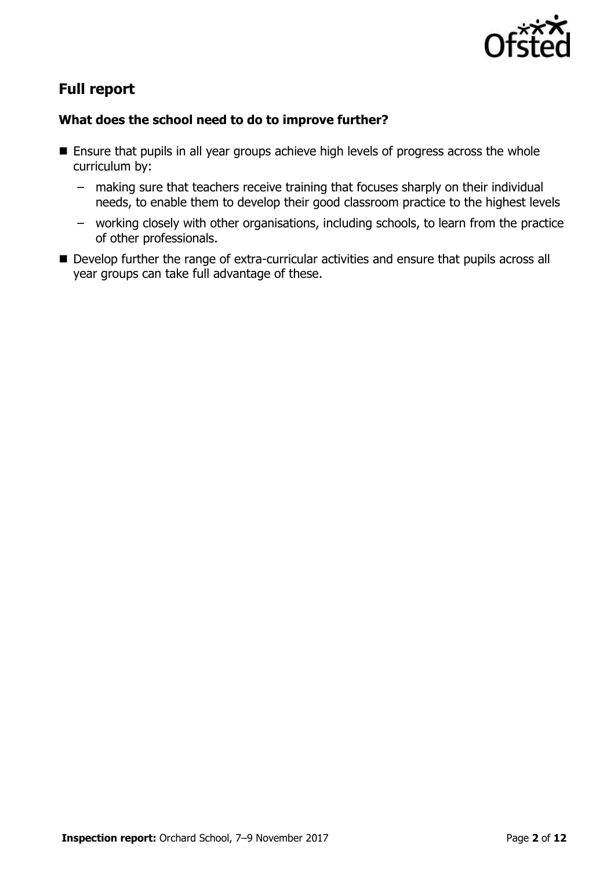

# **Full report**

### **What does the school need to do to improve further?**

- **E** Ensure that pupils in all year groups achieve high levels of progress across the whole curriculum by:
	- making sure that teachers receive training that focuses sharply on their individual needs, to enable them to develop their good classroom practice to the highest levels
	- working closely with other organisations, including schools, to learn from the practice of other professionals.
- Develop further the range of extra-curricular activities and ensure that pupils across all year groups can take full advantage of these.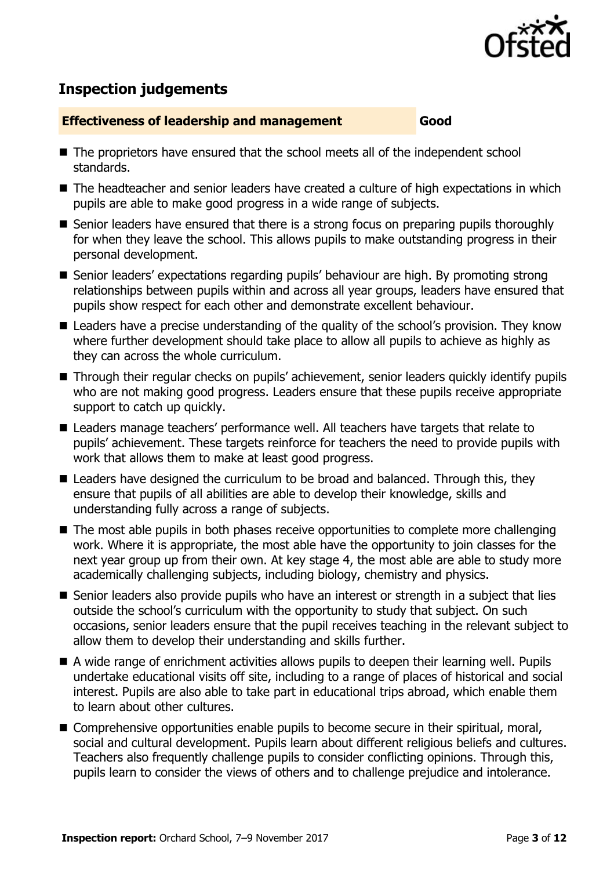

## **Inspection judgements**

### **Effectiveness of leadership and management Good**

- The proprietors have ensured that the school meets all of the independent school standards.
- The headteacher and senior leaders have created a culture of high expectations in which pupils are able to make good progress in a wide range of subjects.
- Senior leaders have ensured that there is a strong focus on preparing pupils thoroughly for when they leave the school. This allows pupils to make outstanding progress in their personal development.
- Senior leaders' expectations regarding pupils' behaviour are high. By promoting strong relationships between pupils within and across all year groups, leaders have ensured that pupils show respect for each other and demonstrate excellent behaviour.
- Leaders have a precise understanding of the quality of the school's provision. They know where further development should take place to allow all pupils to achieve as highly as they can across the whole curriculum.
- Through their regular checks on pupils' achievement, senior leaders quickly identify pupils who are not making good progress. Leaders ensure that these pupils receive appropriate support to catch up quickly.
- Leaders manage teachers' performance well. All teachers have targets that relate to pupils' achievement. These targets reinforce for teachers the need to provide pupils with work that allows them to make at least good progress.
- Leaders have designed the curriculum to be broad and balanced. Through this, they ensure that pupils of all abilities are able to develop their knowledge, skills and understanding fully across a range of subjects.
- The most able pupils in both phases receive opportunities to complete more challenging work. Where it is appropriate, the most able have the opportunity to join classes for the next year group up from their own. At key stage 4, the most able are able to study more academically challenging subjects, including biology, chemistry and physics.
- Senior leaders also provide pupils who have an interest or strength in a subject that lies outside the school's curriculum with the opportunity to study that subject. On such occasions, senior leaders ensure that the pupil receives teaching in the relevant subject to allow them to develop their understanding and skills further.
- A wide range of enrichment activities allows pupils to deepen their learning well. Pupils undertake educational visits off site, including to a range of places of historical and social interest. Pupils are also able to take part in educational trips abroad, which enable them to learn about other cultures.
- Comprehensive opportunities enable pupils to become secure in their spiritual, moral, social and cultural development. Pupils learn about different religious beliefs and cultures. Teachers also frequently challenge pupils to consider conflicting opinions. Through this, pupils learn to consider the views of others and to challenge prejudice and intolerance.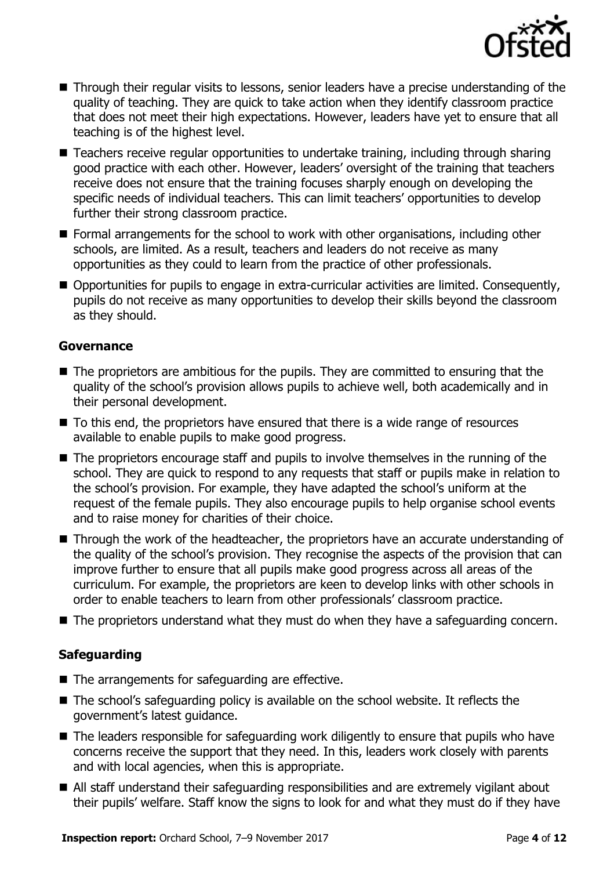

- Through their regular visits to lessons, senior leaders have a precise understanding of the quality of teaching. They are quick to take action when they identify classroom practice that does not meet their high expectations. However, leaders have yet to ensure that all teaching is of the highest level.
- Teachers receive regular opportunities to undertake training, including through sharing good practice with each other. However, leaders' oversight of the training that teachers receive does not ensure that the training focuses sharply enough on developing the specific needs of individual teachers. This can limit teachers' opportunities to develop further their strong classroom practice.
- Formal arrangements for the school to work with other organisations, including other schools, are limited. As a result, teachers and leaders do not receive as many opportunities as they could to learn from the practice of other professionals.
- Opportunities for pupils to engage in extra-curricular activities are limited. Consequently, pupils do not receive as many opportunities to develop their skills beyond the classroom as they should.

### **Governance**

- The proprietors are ambitious for the pupils. They are committed to ensuring that the quality of the school's provision allows pupils to achieve well, both academically and in their personal development.
- To this end, the proprietors have ensured that there is a wide range of resources available to enable pupils to make good progress.
- The proprietors encourage staff and pupils to involve themselves in the running of the school. They are quick to respond to any requests that staff or pupils make in relation to the school's provision. For example, they have adapted the school's uniform at the request of the female pupils. They also encourage pupils to help organise school events and to raise money for charities of their choice.
- Through the work of the headteacher, the proprietors have an accurate understanding of the quality of the school's provision. They recognise the aspects of the provision that can improve further to ensure that all pupils make good progress across all areas of the curriculum. For example, the proprietors are keen to develop links with other schools in order to enable teachers to learn from other professionals' classroom practice.
- The proprietors understand what they must do when they have a safeguarding concern.

### **Safeguarding**

- The arrangements for safeguarding are effective.
- The school's safeguarding policy is available on the school website. It reflects the government's latest guidance.
- The leaders responsible for safeguarding work diligently to ensure that pupils who have concerns receive the support that they need. In this, leaders work closely with parents and with local agencies, when this is appropriate.
- All staff understand their safeguarding responsibilities and are extremely vigilant about their pupils' welfare. Staff know the signs to look for and what they must do if they have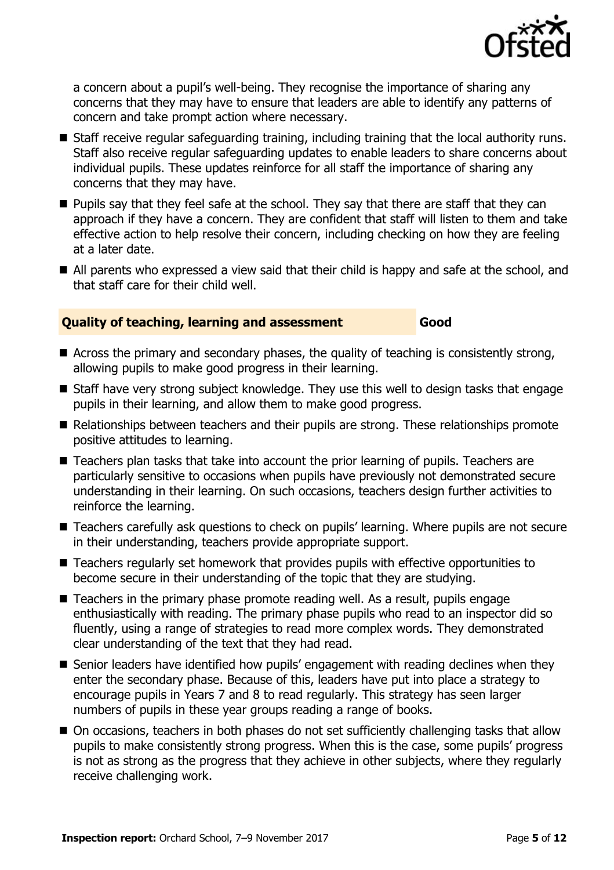

a concern about a pupil's well-being. They recognise the importance of sharing any concerns that they may have to ensure that leaders are able to identify any patterns of concern and take prompt action where necessary.

- Staff receive regular safeguarding training, including training that the local authority runs. Staff also receive regular safeguarding updates to enable leaders to share concerns about individual pupils. These updates reinforce for all staff the importance of sharing any concerns that they may have.
- **Pupils say that they feel safe at the school. They say that there are staff that they can** approach if they have a concern. They are confident that staff will listen to them and take effective action to help resolve their concern, including checking on how they are feeling at a later date.
- All parents who expressed a view said that their child is happy and safe at the school, and that staff care for their child well.

### **Quality of teaching, learning and assessment Good**

- Across the primary and secondary phases, the quality of teaching is consistently strong, allowing pupils to make good progress in their learning.
- Staff have very strong subject knowledge. They use this well to design tasks that engage pupils in their learning, and allow them to make good progress.
- Relationships between teachers and their pupils are strong. These relationships promote positive attitudes to learning.
- Teachers plan tasks that take into account the prior learning of pupils. Teachers are particularly sensitive to occasions when pupils have previously not demonstrated secure understanding in their learning. On such occasions, teachers design further activities to reinforce the learning.
- Teachers carefully ask questions to check on pupils' learning. Where pupils are not secure in their understanding, teachers provide appropriate support.
- Teachers regularly set homework that provides pupils with effective opportunities to become secure in their understanding of the topic that they are studying.
- $\blacksquare$  Teachers in the primary phase promote reading well. As a result, pupils engage enthusiastically with reading. The primary phase pupils who read to an inspector did so fluently, using a range of strategies to read more complex words. They demonstrated clear understanding of the text that they had read.
- Senior leaders have identified how pupils' engagement with reading declines when they enter the secondary phase. Because of this, leaders have put into place a strategy to encourage pupils in Years 7 and 8 to read regularly. This strategy has seen larger numbers of pupils in these year groups reading a range of books.
- On occasions, teachers in both phases do not set sufficiently challenging tasks that allow pupils to make consistently strong progress. When this is the case, some pupils' progress is not as strong as the progress that they achieve in other subjects, where they regularly receive challenging work.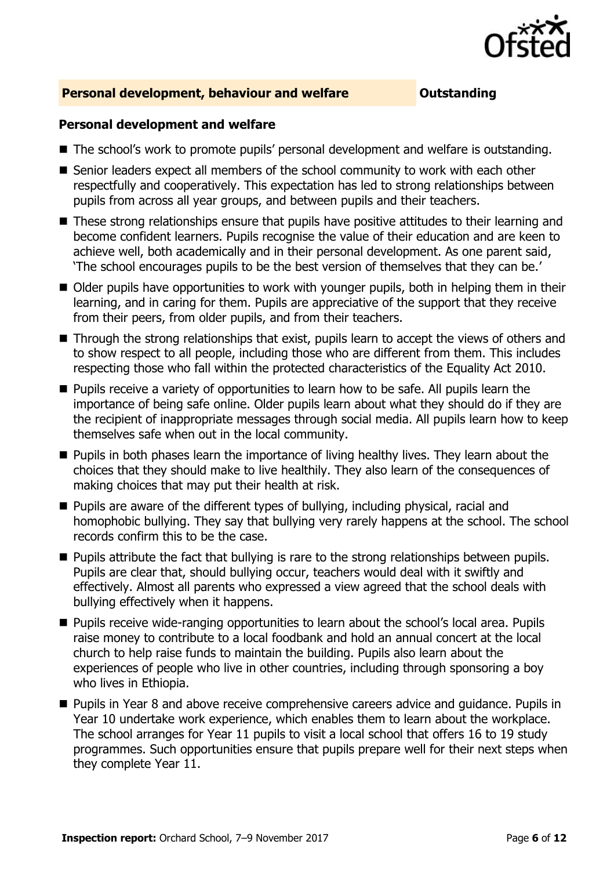

### **Personal development, behaviour and welfare <b>COUTS** Outstanding

### **Personal development and welfare**

- The school's work to promote pupils' personal development and welfare is outstanding.
- Senior leaders expect all members of the school community to work with each other respectfully and cooperatively. This expectation has led to strong relationships between pupils from across all year groups, and between pupils and their teachers.
- These strong relationships ensure that pupils have positive attitudes to their learning and become confident learners. Pupils recognise the value of their education and are keen to achieve well, both academically and in their personal development. As one parent said, 'The school encourages pupils to be the best version of themselves that they can be.'
- Older pupils have opportunities to work with younger pupils, both in helping them in their learning, and in caring for them. Pupils are appreciative of the support that they receive from their peers, from older pupils, and from their teachers.
- Through the strong relationships that exist, pupils learn to accept the views of others and to show respect to all people, including those who are different from them. This includes respecting those who fall within the protected characteristics of the Equality Act 2010.
- **Pupils receive a variety of opportunities to learn how to be safe. All pupils learn the** importance of being safe online. Older pupils learn about what they should do if they are the recipient of inappropriate messages through social media. All pupils learn how to keep themselves safe when out in the local community.
- **Pupils in both phases learn the importance of living healthy lives. They learn about the** choices that they should make to live healthily. They also learn of the consequences of making choices that may put their health at risk.
- Pupils are aware of the different types of bullying, including physical, racial and homophobic bullying. They say that bullying very rarely happens at the school. The school records confirm this to be the case.
- **Pupils attribute the fact that bullying is rare to the strong relationships between pupils.** Pupils are clear that, should bullying occur, teachers would deal with it swiftly and effectively. Almost all parents who expressed a view agreed that the school deals with bullying effectively when it happens.
- **Pupils receive wide-ranging opportunities to learn about the school's local area. Pupils** raise money to contribute to a local foodbank and hold an annual concert at the local church to help raise funds to maintain the building. Pupils also learn about the experiences of people who live in other countries, including through sponsoring a boy who lives in Ethiopia.
- **Pupils in Year 8 and above receive comprehensive careers advice and quidance. Pupils in** Year 10 undertake work experience, which enables them to learn about the workplace. The school arranges for Year 11 pupils to visit a local school that offers 16 to 19 study programmes. Such opportunities ensure that pupils prepare well for their next steps when they complete Year 11.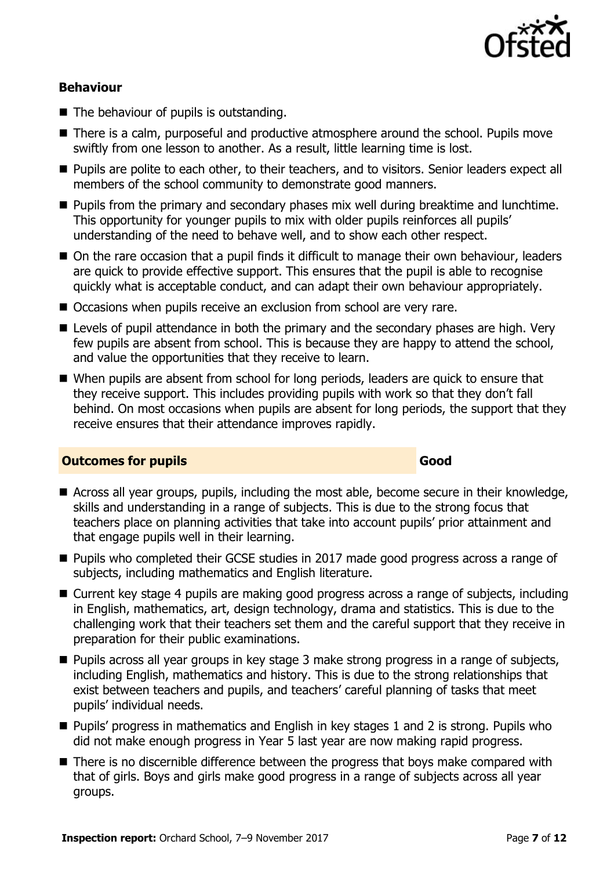

### **Behaviour**

- $\blacksquare$  The behaviour of pupils is outstanding.
- There is a calm, purposeful and productive atmosphere around the school. Pupils move swiftly from one lesson to another. As a result, little learning time is lost.
- **Pupils are polite to each other, to their teachers, and to visitors. Senior leaders expect all** members of the school community to demonstrate good manners.
- **Pupils from the primary and secondary phases mix well during breaktime and lunchtime.** This opportunity for younger pupils to mix with older pupils reinforces all pupils' understanding of the need to behave well, and to show each other respect.
- On the rare occasion that a pupil finds it difficult to manage their own behaviour, leaders are quick to provide effective support. This ensures that the pupil is able to recognise quickly what is acceptable conduct, and can adapt their own behaviour appropriately.
- Occasions when pupils receive an exclusion from school are very rare.
- **E** Levels of pupil attendance in both the primary and the secondary phases are high. Very few pupils are absent from school. This is because they are happy to attend the school, and value the opportunities that they receive to learn.
- When pupils are absent from school for long periods, leaders are quick to ensure that they receive support. This includes providing pupils with work so that they don't fall behind. On most occasions when pupils are absent for long periods, the support that they receive ensures that their attendance improves rapidly.

### **Outcomes for pupils Good**

- Across all year groups, pupils, including the most able, become secure in their knowledge, skills and understanding in a range of subjects. This is due to the strong focus that teachers place on planning activities that take into account pupils' prior attainment and that engage pupils well in their learning.
- **Pupils who completed their GCSE studies in 2017 made good progress across a range of** subjects, including mathematics and English literature.
- Current key stage 4 pupils are making good progress across a range of subjects, including in English, mathematics, art, design technology, drama and statistics. This is due to the challenging work that their teachers set them and the careful support that they receive in preparation for their public examinations.
- **Pupils across all year groups in key stage 3 make strong progress in a range of subjects,** including English, mathematics and history. This is due to the strong relationships that exist between teachers and pupils, and teachers' careful planning of tasks that meet pupils' individual needs.
- Pupils' progress in mathematics and English in key stages 1 and 2 is strong. Pupils who did not make enough progress in Year 5 last year are now making rapid progress.
- There is no discernible difference between the progress that boys make compared with that of girls. Boys and girls make good progress in a range of subjects across all year groups.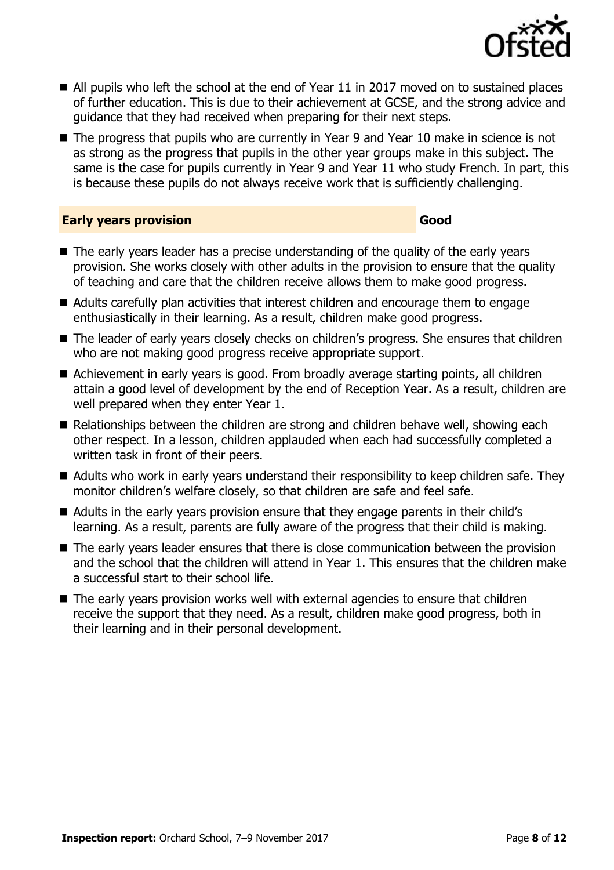

- All pupils who left the school at the end of Year 11 in 2017 moved on to sustained places of further education. This is due to their achievement at GCSE, and the strong advice and guidance that they had received when preparing for their next steps.
- The progress that pupils who are currently in Year 9 and Year 10 make in science is not as strong as the progress that pupils in the other year groups make in this subject. The same is the case for pupils currently in Year 9 and Year 11 who study French. In part, this is because these pupils do not always receive work that is sufficiently challenging.

### **Early years provision Good Good**

- The early years leader has a precise understanding of the quality of the early years provision. She works closely with other adults in the provision to ensure that the quality of teaching and care that the children receive allows them to make good progress.
- Adults carefully plan activities that interest children and encourage them to engage enthusiastically in their learning. As a result, children make good progress.
- The leader of early years closely checks on children's progress. She ensures that children who are not making good progress receive appropriate support.
- Achievement in early years is good. From broadly average starting points, all children attain a good level of development by the end of Reception Year. As a result, children are well prepared when they enter Year 1.
- Relationships between the children are strong and children behave well, showing each other respect. In a lesson, children applauded when each had successfully completed a written task in front of their peers.
- Adults who work in early years understand their responsibility to keep children safe. They monitor children's welfare closely, so that children are safe and feel safe.
- Adults in the early vears provision ensure that they engage parents in their child's learning. As a result, parents are fully aware of the progress that their child is making.
- The early years leader ensures that there is close communication between the provision and the school that the children will attend in Year 1. This ensures that the children make a successful start to their school life.
- The early years provision works well with external agencies to ensure that children receive the support that they need. As a result, children make good progress, both in their learning and in their personal development.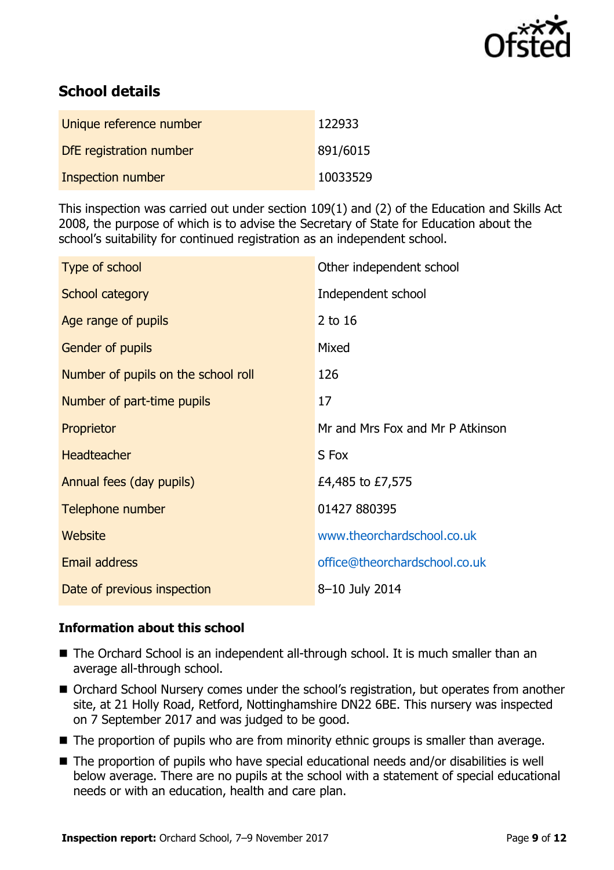

# **School details**

| Unique reference number | 122933   |
|-------------------------|----------|
| DfE registration number | 891/6015 |
| Inspection number       | 10033529 |

This inspection was carried out under section 109(1) and (2) of the Education and Skills Act 2008, the purpose of which is to advise the Secretary of State for Education about the school's suitability for continued registration as an independent school.

| Type of school                      | Other independent school         |
|-------------------------------------|----------------------------------|
| School category                     | Independent school               |
| Age range of pupils                 | 2 to 16                          |
| <b>Gender of pupils</b>             | Mixed                            |
| Number of pupils on the school roll | 126                              |
| Number of part-time pupils          | 17                               |
| Proprietor                          | Mr and Mrs Fox and Mr P Atkinson |
| <b>Headteacher</b>                  | S Fox                            |
| Annual fees (day pupils)            | £4,485 to £7,575                 |
| Telephone number                    | 01427 880395                     |
| <b>Website</b>                      | www.theorchardschool.co.uk       |
| <b>Email address</b>                | office@theorchardschool.co.uk    |
| Date of previous inspection         | 8-10 July 2014                   |

### **Information about this school**

- The Orchard School is an independent all-through school. It is much smaller than an average all-through school.
- Orchard School Nursery comes under the school's registration, but operates from another site, at 21 Holly Road, Retford, Nottinghamshire DN22 6BE. This nursery was inspected on 7 September 2017 and was judged to be good.
- The proportion of pupils who are from minority ethnic groups is smaller than average.
- The proportion of pupils who have special educational needs and/or disabilities is well below average. There are no pupils at the school with a statement of special educational needs or with an education, health and care plan.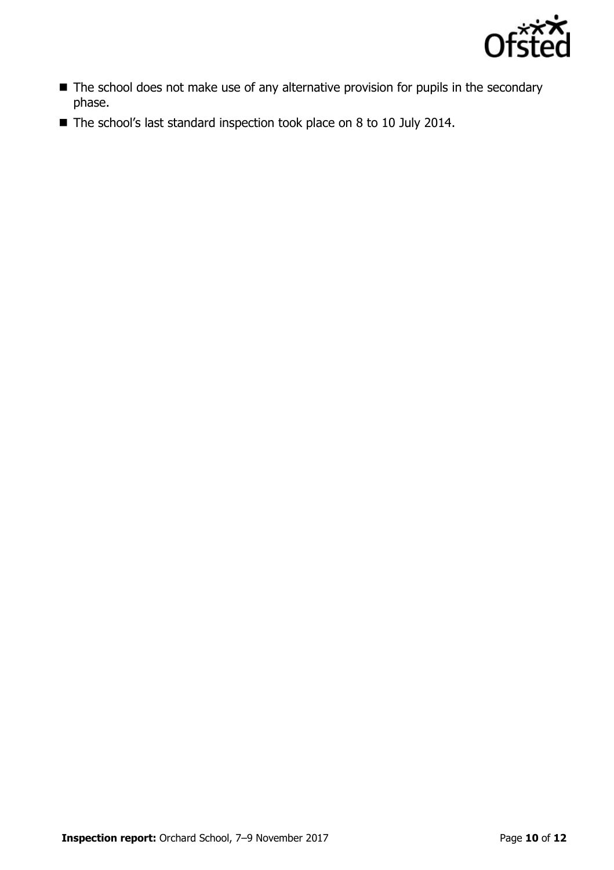

- The school does not make use of any alternative provision for pupils in the secondary phase.
- The school's last standard inspection took place on 8 to 10 July 2014.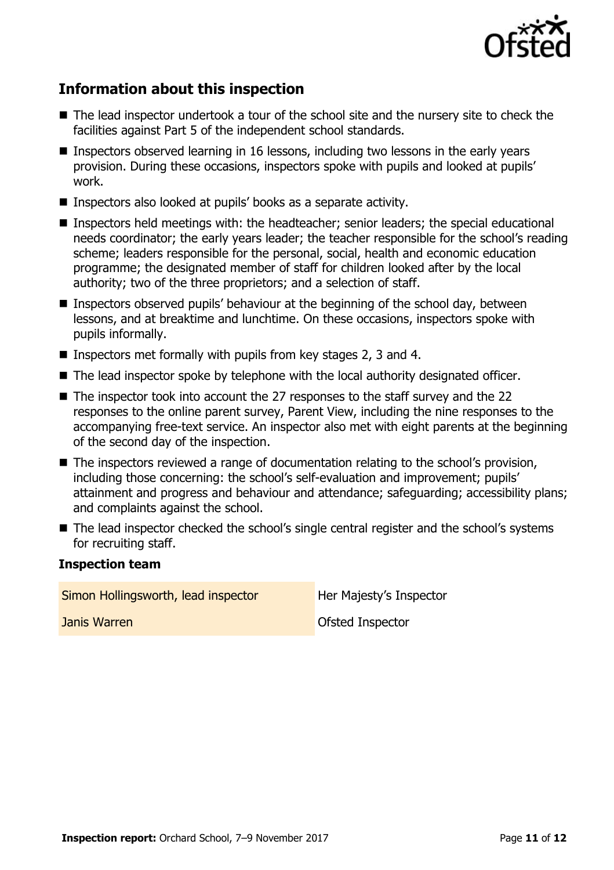

# **Information about this inspection**

- The lead inspector undertook a tour of the school site and the nursery site to check the facilities against Part 5 of the independent school standards.
- **Inspectors observed learning in 16 lessons, including two lessons in the early years** provision. During these occasions, inspectors spoke with pupils and looked at pupils' work.
- Inspectors also looked at pupils' books as a separate activity.
- Inspectors held meetings with: the headteacher; senior leaders; the special educational needs coordinator; the early years leader; the teacher responsible for the school's reading scheme; leaders responsible for the personal, social, health and economic education programme; the designated member of staff for children looked after by the local authority; two of the three proprietors; and a selection of staff.
- **Inspectors observed pupils' behaviour at the beginning of the school day, between** lessons, and at breaktime and lunchtime. On these occasions, inspectors spoke with pupils informally.
- **Inspectors met formally with pupils from key stages 2, 3 and 4.**
- The lead inspector spoke by telephone with the local authority designated officer.
- The inspector took into account the 27 responses to the staff survey and the 22 responses to the online parent survey, Parent View, including the nine responses to the accompanying free-text service. An inspector also met with eight parents at the beginning of the second day of the inspection.
- The inspectors reviewed a range of documentation relating to the school's provision, including those concerning: the school's self-evaluation and improvement; pupils' attainment and progress and behaviour and attendance; safeguarding; accessibility plans; and complaints against the school.
- The lead inspector checked the school's single central register and the school's systems for recruiting staff.

### **Inspection team**

Simon Hollingsworth, lead inspector **Her Majesty's Inspector** 

**Janis Warren Communist Communist Communist Communist Communist Communist Communist Communist Communist Communist Communist Communist Communist Communist Communist Communist Communist Communist Communist Communist Communis**